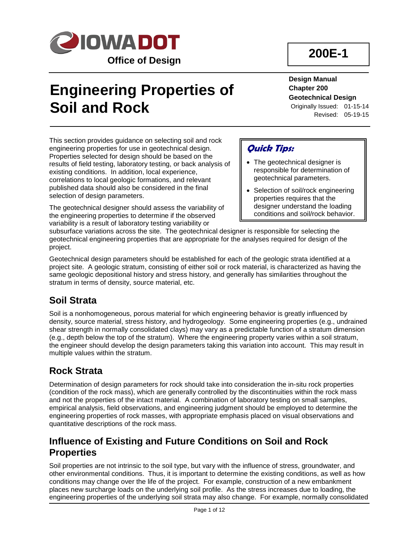

# **Engineering Properties of Soil and Rock**

## **200E-1**

#### **Design Manual Chapter 200 Geotechnical Design**

Originally Issued: 01-15-14 Revised: 05-19-15

This section provides guidance on selecting soil and rock engineering properties for use in geotechnical design. Properties selected for design should be based on the results of field testing, laboratory testing, or back analysis of existing conditions. In addition, local experience, correlations to local geologic formations, and relevant published data should also be considered in the final selection of design parameters.

The geotechnical designer should assess the variability of the engineering properties to determine if the observed variability is a result of laboratory testing variability or

### **Quick Tips:**

- The geotechnical designer is responsible for determination of geotechnical parameters.
- Selection of soil/rock engineering properties requires that the designer understand the loading conditions and soil/rock behavior.

subsurface variations across the site. The geotechnical designer is responsible for selecting the geotechnical engineering properties that are appropriate for the analyses required for design of the project.

Geotechnical design parameters should be established for each of the geologic strata identified at a project site. A geologic stratum, consisting of either soil or rock material, is characterized as having the same geologic depositional history and stress history, and generally has similarities throughout the stratum in terms of density, source material, etc.

### **Soil Strata**

Soil is a nonhomogeneous, porous material for which engineering behavior is greatly influenced by density, source material, stress history, and hydrogeology. Some engineering properties (e.g., undrained shear strength in normally consolidated clays) may vary as a predictable function of a stratum dimension (e.g., depth below the top of the stratum). Where the engineering property varies within a soil stratum, the engineer should develop the design parameters taking this variation into account. This may result in multiple values within the stratum.

### **Rock Strata**

Determination of design parameters for rock should take into consideration the in-situ rock properties (condition of the rock mass), which are generally controlled by the discontinuities within the rock mass and not the properties of the intact material. A combination of laboratory testing on small samples, empirical analysis, field observations, and engineering judgment should be employed to determine the engineering properties of rock masses, with appropriate emphasis placed on visual observations and quantitative descriptions of the rock mass.

### **Influence of Existing and Future Conditions on Soil and Rock Properties**

Soil properties are not intrinsic to the soil type, but vary with the influence of stress, groundwater, and other environmental conditions. Thus, it is important to determine the existing conditions, as well as how conditions may change over the life of the project. For example, construction of a new embankment places new surcharge loads on the underlying soil profile. As the stress increases due to loading, the engineering properties of the underlying soil strata may also change. For example, normally consolidated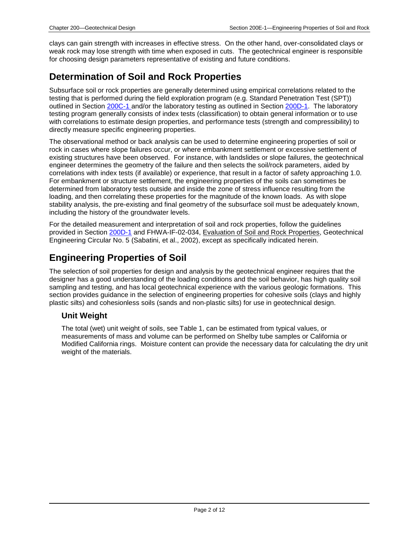clays can gain strength with increases in effective stress. On the other hand, over-consolidated clays or weak rock may lose strength with time when exposed in cuts. The geotechnical engineer is responsible for choosing design parameters representative of existing and future conditions.

### **Determination of Soil and Rock Properties**

Subsurface soil or rock properties are generally determined using empirical correlations related to the testing that is performed during the field exploration program (e.g. Standard Penetration Test (SPT)) outlined in Section 200C-1 and/or the laboratory testing as outlined in Section 200D-1. The laboratory testing program generally consists of index tests (classification) to obtain general information or to use with correlations to estimate design properties, and performance tests (strength and compressibility) to directly measure specific engineering properties.

The observational method or back analysis can be used to determine engineering properties of soil or rock in cases where slope failures occur, or where embankment settlement or excessive settlement of existing structures have been observed. For instance, with landslides or slope failures, the geotechnical engineer determines the geometry of the failure and then selects the soil/rock parameters, aided by correlations with index tests (if available) or experience, that result in a factor of safety approaching 1.0. For embankment or structure settlement, the engineering properties of the soils can sometimes be determined from laboratory tests outside and inside the zone of stress influence resulting from the loading, and then correlating these properties for the magnitude of the known loads. As with slope stability analysis, the pre-existing and final geometry of the subsurface soil must be adequately known, including the history of the groundwater levels.

For the detailed measurement and interpretation of soil and rock properties, follow the guidelines provided in Section 200D-1 and FHWA-IF-02-034, Evaluation of Soil and Rock Properties, Geotechnical Engineering Circular No. 5 (Sabatini, et al., 2002), except as specifically indicated herein.

### **Engineering Properties of Soil**

The selection of soil properties for design and analysis by the geotechnical engineer requires that the designer has a good understanding of the loading conditions and the soil behavior, has high quality soil sampling and testing, and has local geotechnical experience with the various geologic formations. This section provides guidance in the selection of engineering properties for cohesive soils (clays and highly plastic silts) and cohesionless soils (sands and non-plastic silts) for use in geotechnical design.

#### **Unit Weight**

The total (wet) unit weight of soils, see Table 1, can be estimated from typical values, or measurements of mass and volume can be performed on Shelby tube samples or California or Modified California rings. Moisture content can provide the necessary data for calculating the dry unit weight of the materials.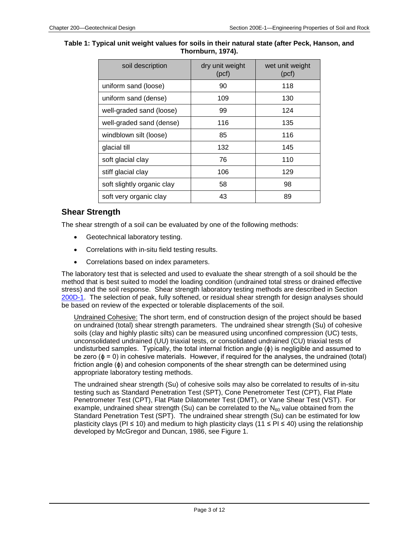#### **Table 1: Typical unit weight values for soils in their natural state (after Peck, Hanson, and Thornburn, 1974).**

| soil description           | dry unit weight<br>(pcf) | wet unit weight<br>(pcf) |  |
|----------------------------|--------------------------|--------------------------|--|
| uniform sand (loose)       | 90                       | 118                      |  |
| uniform sand (dense)       | 109                      | 130                      |  |
| well-graded sand (loose)   | 99                       | 124                      |  |
| well-graded sand (dense)   | 116                      | 135                      |  |
| windblown silt (loose)     | 85                       | 116                      |  |
| glacial till               | 132                      | 145                      |  |
| soft glacial clay          | 76                       | 110                      |  |
| stiff glacial clay         | 106                      | 129                      |  |
| soft slightly organic clay | 58                       | 98                       |  |
| soft very organic clay     | 43                       | 89                       |  |

#### **Shear Strength**

The shear strength of a soil can be evaluated by one of the following methods:

- Geotechnical laboratory testing.
- Correlations with in-situ field testing results.
- Correlations based on index parameters.

The laboratory test that is selected and used to evaluate the shear strength of a soil should be the method that is best suited to model the loading condition (undrained total stress or drained effective stress) and the soil response. Shear strength laboratory testing methods are described in Section 200D-1. The selection of peak, fully softened, or residual shear strength for design analyses should be based on review of the expected or tolerable displacements of the soil.

Undrained Cohesive: The short term, end of construction design of the project should be based on undrained (total) shear strength parameters. The undrained shear strength (Su) of cohesive soils (clay and highly plastic silts) can be measured using unconfined compression (UC) tests, unconsolidated undrained (UU) triaxial tests, or consolidated undrained (CU) triaxial tests of undisturbed samples. Typically, the total internal friction angle (ϕ) is negligible and assumed to be zero ( $\phi$  = 0) in cohesive materials. However, if required for the analyses, the undrained (total) friction angle (ϕ) and cohesion components of the shear strength can be determined using appropriate laboratory testing methods.

The undrained shear strength (Su) of cohesive soils may also be correlated to results of in-situ testing such as Standard Penetration Test (SPT), Cone Penetrometer Test (CPT), Flat Plate Penetrometer Test (CPT), Flat Plate Dilatometer Test (DMT), or Vane Shear Test (VST). For example, undrained shear strength (Su) can be correlated to the  $N_{60}$  value obtained from the Standard Penetration Test (SPT). The undrained shear strength (Su) can be estimated for low plasticity clays (PI  $\leq$  10) and medium to high plasticity clays (11  $\leq$  PI  $\leq$  40) using the relationship developed by McGregor and Duncan, 1986, see Figure 1.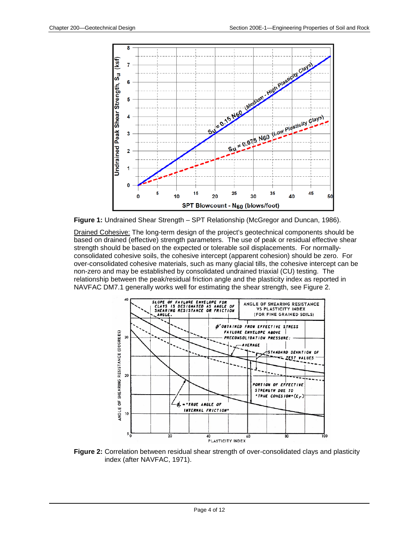

**Figure 1:** Undrained Shear Strength – SPT Relationship (McGregor and Duncan, 1986).

Drained Cohesive: The long-term design of the project's geotechnical components should be based on drained (effective) strength parameters. The use of peak or residual effective shear strength should be based on the expected or tolerable soil displacements. For normallyconsolidated cohesive soils, the cohesive intercept (apparent cohesion) should be zero. For over-consolidated cohesive materials, such as many glacial tills, the cohesive intercept can be non-zero and may be established by consolidated undrained triaxial (CU) testing. The relationship between the peak/residual friction angle and the plasticity index as reported in NAVFAC DM7.1 generally works well for estimating the shear strength, see Figure 2.



**Figure 2:** Correlation between residual shear strength of over-consolidated clays and plasticity index (after NAVFAC, 1971).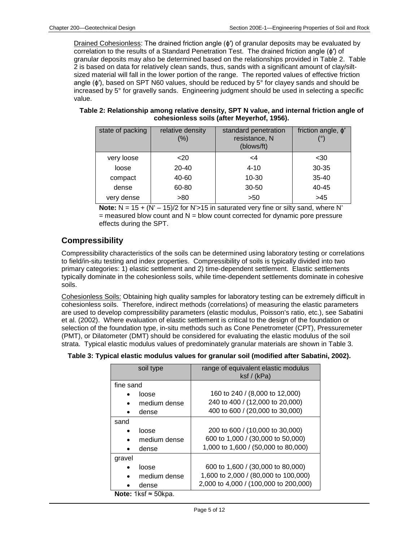Drained Cohesionless: The drained friction angle (ϕ′) of granular deposits may be evaluated by correlation to the results of a Standard Penetration Test. The drained friction angle (ϕ′) of granular deposits may also be determined based on the relationships provided in Table 2. Table 2 is based on data for relatively clean sands, thus, sands with a significant amount of clay/siltsized material will fall in the lower portion of the range. The reported values of effective friction angle ( $\phi'$ ), based on SPT N60 values, should be reduced by  $5^{\circ}$  for clayey sands and should be increased by 5° for gravelly sands. Engineering judgment should be used in selecting a specific value.

| Table 2: Relationship among relative density, SPT N value, and internal friction angle of |
|-------------------------------------------------------------------------------------------|
| cohesionless soils (after Meyerhof, 1956).                                                |

| state of packing | relative density<br>$(\% )$ | standard penetration<br>resistance, N<br>(blows/ft) | friction angle, $\phi'$ |
|------------------|-----------------------------|-----------------------------------------------------|-------------------------|
| very loose       | $20$                        | <4                                                  | $30$                    |
| loose            | $20 - 40$                   | $4 - 10$                                            | 30-35                   |
| compact          | 40-60                       | 10-30                                               | $35 - 40$               |
| dense            | 60-80                       | $30 - 50$                                           | 40-45                   |
| very dense       | >80                         | >50                                                 | >45                     |

**Note:**  $N = 15 + (N' - 15)/2$  for  $N' > 15$  in saturated very fine or silty sand, where N'  $=$  measured blow count and  $N =$  blow count corrected for dynamic pore pressure effects during the SPT.

#### **Compressibility**

Compressibility characteristics of the soils can be determined using laboratory testing or correlations to field/in-situ testing and index properties. Compressibility of soils is typically divided into two primary categories: 1) elastic settlement and 2) time-dependent settlement. Elastic settlements typically dominate in the cohesionless soils, while time-dependent settlements dominate in cohesive soils.

Cohesionless Soils: Obtaining high quality samples for laboratory testing can be extremely difficult in cohesionless soils. Therefore, indirect methods (correlations) of measuring the elastic parameters are used to develop compressibility parameters (elastic modulus, Poisson's ratio, etc.), see Sabatini et al. (2002). Where evaluation of elastic settlement is critical to the design of the foundation or selection of the foundation type, in-situ methods such as Cone Penetrometer (CPT), Pressuremeter (PMT), or Dilatometer (DMT) should be considered for evaluating the elastic modulus of the soil strata. Typical elastic modulus values of predominately granular materials are shown in Table 3.

| soil type                   | range of equivalent elastic modulus<br>$k$ sf / (kPa) |  |  |  |  |
|-----------------------------|-------------------------------------------------------|--|--|--|--|
| fine sand                   |                                                       |  |  |  |  |
| loose                       | 160 to 240 / (8,000 to 12,000)                        |  |  |  |  |
| medium dense<br>$\bullet$   | 240 to 400 / (12,000 to 20,000)                       |  |  |  |  |
| dense                       | 400 to 600 / (20,000 to 30,000)                       |  |  |  |  |
| sand                        |                                                       |  |  |  |  |
| loose<br>$\bullet$          | 200 to 600 / (10,000 to 30,000)                       |  |  |  |  |
| medium dense<br>$\bullet$   | 600 to 1,000 / (30,000 to 50,000)                     |  |  |  |  |
| dense                       | 1,000 to 1,600 / (50,000 to 80,000)                   |  |  |  |  |
| gravel                      |                                                       |  |  |  |  |
| loose                       | 600 to 1,600 / (30,000 to 80,000)                     |  |  |  |  |
| medium dense                | 1,600 to 2,000 / (80,000 to 100,000)                  |  |  |  |  |
| dense                       | 2,000 to 4,000 / (100,000 to 200,000)                 |  |  |  |  |
| Note: 1ksf $\approx$ 50kpa. |                                                       |  |  |  |  |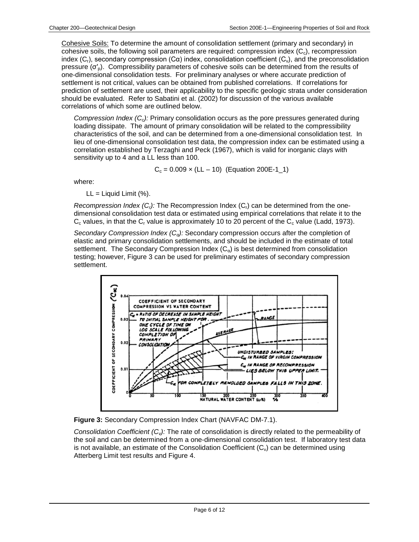Cohesive Soils: To determine the amount of consolidation settlement (primary and secondary) in cohesive soils, the following soil parameters are required: compression index  $(C<sub>c</sub>)$ , recompression index  $(C_r)$ , secondary compression  $(C\alpha)$  index, consolidation coefficient  $(C_v)$ , and the preconsolidation pressure ( $σ'_{p}$ ). Compressibility parameters of cohesive soils can be determined from the results of one-dimensional consolidation tests. For preliminary analyses or where accurate prediction of settlement is not critical, values can be obtained from published correlations. If correlations for prediction of settlement are used, their applicability to the specific geologic strata under consideration should be evaluated. Refer to Sabatini et al. (2002) for discussion of the various available correlations of which some are outlined below.

*Compression Index (C<sub>c</sub>):* Primary consolidation occurs as the pore pressures generated during loading dissipate. The amount of primary consolidation will be related to the compressibility characteristics of the soil, and can be determined from a one-dimensional consolidation test. In lieu of one-dimensional consolidation test data, the compression index can be estimated using a correlation established by Terzaghi and Peck (1967), which is valid for inorganic clays with sensitivity up to 4 and a LL less than 100.

$$
C_c = 0.009 \times (LL - 10)
$$
 (Equation 200E-1\_1)

where:

 $LL =$  Liquid Limit  $(\%)$ .

*Recompression Index (C<sub>r</sub>):* The Recompression Index (C<sub>r</sub>) can be determined from the onedimensional consolidation test data or estimated using empirical correlations that relate it to the  $C_c$  values, in that the  $C_r$  value is approximately 10 to 20 percent of the  $C_c$  value (Ladd, 1973).

*Secondary Compression Index (Cα):* Secondary compression occurs after the completion of elastic and primary consolidation settlements, and should be included in the estimate of total settlement. The Secondary Compression Index  $(C_{\alpha})$  is best determined from consolidation testing; however, Figure 3 can be used for preliminary estimates of secondary compression settlement.



**Figure 3:** Secondary Compression Index Chart (NAVFAC DM-7.1).

*Consolidation Coefficient (C<sub>v</sub>):* The rate of consolidation is directly related to the permeability of the soil and can be determined from a one-dimensional consolidation test. If laboratory test data is not available, an estimate of the Consolidation Coefficient  $(C_v)$  can be determined using Atterberg Limit test results and Figure 4.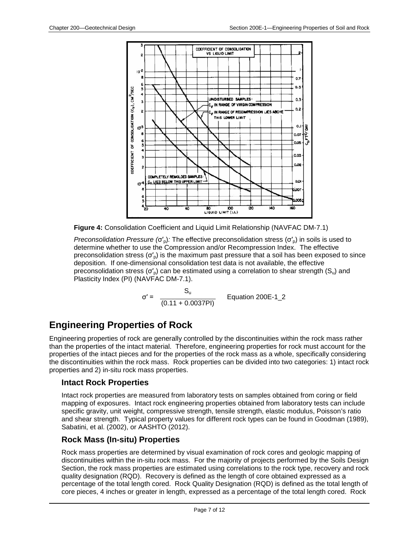

**Figure 4:** Consolidation Coefficient and Liquid Limit Relationship (NAVFAC DM-7.1)

*Preconsolidation Pressure* (σ'<sub>0</sub>): The effective preconsolidation stress (σ'<sub>0</sub>) in soils is used to determine whether to use the Compression and/or Recompression Index. The effective preconsolidation stress  $(\sigma'_{p})$  is the maximum past pressure that a soil has been exposed to since deposition. If one-dimensional consolidation test data is not available, the effective preconsolidation stress ( $\sigma'_{\rm D}$ ) can be estimated using a correlation to shear strength (S<sub>u</sub>) and Plasticity Index (PI) (NAVFAC DM-7.1).

$$
\sigma' = \frac{S_u}{(0.11 + 0.0037PI)} \qquad \text{Equation 200E-1\_2}
$$

### **Engineering Properties of Rock**

Engineering properties of rock are generally controlled by the discontinuities within the rock mass rather than the properties of the intact material. Therefore, engineering properties for rock must account for the properties of the intact pieces and for the properties of the rock mass as a whole, specifically considering the discontinuities within the rock mass. Rock properties can be divided into two categories: 1) intact rock properties and 2) in-situ rock mass properties.

#### **Intact Rock Properties**

Intact rock properties are measured from laboratory tests on samples obtained from coring or field mapping of exposures. Intact rock engineering properties obtained from laboratory tests can include specific gravity, unit weight, compressive strength, tensile strength, elastic modulus, Poisson's ratio and shear strength. Typical property values for different rock types can be found in Goodman (1989), Sabatini, et al. (2002), or AASHTO (2012).

#### **Rock Mass (In-situ) Properties**

Rock mass properties are determined by visual examination of rock cores and geologic mapping of discontinuities within the in-situ rock mass. For the majority of projects performed by the Soils Design Section, the rock mass properties are estimated using correlations to the rock type, recovery and rock quality designation (RQD). Recovery is defined as the length of core obtained expressed as a percentage of the total length cored. Rock Quality Designation (RQD) is defined as the total length of core pieces, 4 inches or greater in length, expressed as a percentage of the total length cored. Rock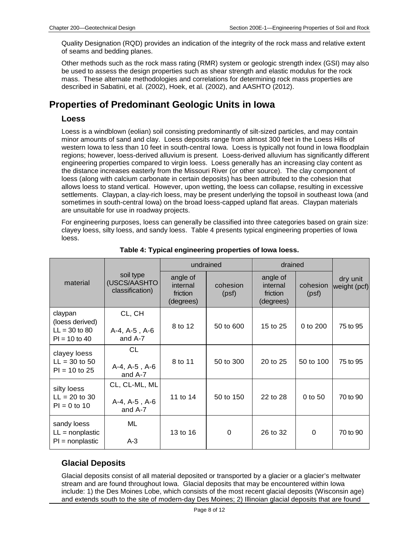Quality Designation (RQD) provides an indication of the integrity of the rock mass and relative extent of seams and bedding planes.

Other methods such as the rock mass rating (RMR) system or geologic strength index (GSI) may also be used to assess the design properties such as shear strength and elastic modulus for the rock mass. These alternate methodologies and correlations for determining rock mass properties are described in Sabatini, et al. (2002), Hoek, et al. (2002), and AASHTO (2012).

### **Properties of Predominant Geologic Units in Iowa**

#### **Loess**

Loess is a windblown (eolian) soil consisting predominantly of silt-sized particles, and may contain minor amounts of sand and clay. Loess deposits range from almost 300 feet in the Loess Hills of western Iowa to less than 10 feet in south-central Iowa. Loess is typically not found in Iowa floodplain regions; however, loess-derived alluvium is present. Loess-derived alluvium has significantly different engineering properties compared to virgin loess. Loess generally has an increasing clay content as the distance increases easterly from the Missouri River (or other source). The clay component of loess (along with calcium carbonate in certain deposits) has been attributed to the cohesion that allows loess to stand vertical. However, upon wetting, the loess can collapse, resulting in excessive settlements. Claypan, a clay-rich loess, may be present underlying the topsoil in southeast Iowa (and sometimes in south-central Iowa) on the broad loess-capped upland flat areas. Claypan materials are unsuitable for use in roadway projects.

For engineering purposes, loess can generally be classified into three categories based on grain size: clayey loess, silty loess, and sandy loess. Table 4 presents typical engineering properties of Iowa loess.

|                                                                  |                                              | undrained                                     |                   | drained                                       |                   |                          |
|------------------------------------------------------------------|----------------------------------------------|-----------------------------------------------|-------------------|-----------------------------------------------|-------------------|--------------------------|
| material                                                         | soil type<br>(USCS/AASHTO<br>classification) | angle of<br>internal<br>friction<br>(degrees) | cohesion<br>(psf) | angle of<br>internal<br>friction<br>(degrees) | cohesion<br>(psf) | dry unit<br>weight (pcf) |
| claypan<br>(loess derived)<br>$LL = 30$ to 80<br>$PI = 10$ to 40 | CL, CH<br>A-4, A-5, A-6<br>and A-7           |                                               | 50 to 600         | 15 to 25                                      | 0 to 200          | 75 to 95                 |
| clayey loess<br>$LL = 30$ to 50<br>$PI = 10$ to 25               | <b>CL</b><br>A-4, A-5, A-6<br>and A-7        | 8 to 11                                       | 50 to 300         | 20 to 25                                      | 50 to 100         | 75 to 95                 |
| silty loess<br>$LL = 20$ to 30<br>$PI = 0$ to 10                 | CL, CL-ML, ML<br>A-4, A-5, A-6<br>and A-7    | 11 to 14                                      | 50 to 150         | 22 to 28                                      | 0 to 50           | 70 to 90                 |
| sandy loess<br>$LL = nonplastic$<br>$PI = nonplastic$            | ML<br>$A-3$                                  | 13 to 16                                      | 0                 | 26 to 32                                      | 0                 | 70 to 90                 |

#### **Table 4: Typical engineering properties of Iowa loess.**

#### **Glacial Deposits**

Glacial deposits consist of all material deposited or transported by a glacier or a glacier's meltwater stream and are found throughout Iowa. Glacial deposits that may be encountered within Iowa include: 1) the Des Moines Lobe, which consists of the most recent glacial deposits (Wisconsin age) and extends south to the site of modern-day Des Moines; 2) Illinoian glacial deposits that are found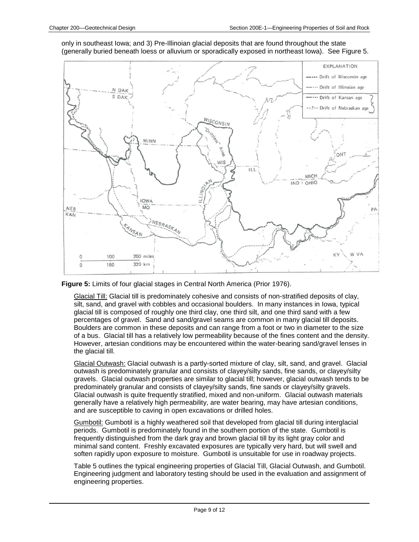only in southeast Iowa; and 3) Pre-Illinoian glacial deposits that are found throughout the state (generally buried beneath loess or alluvium or sporadically exposed in northeast Iowa). See Figure 5.





Glacial Till: Glacial till is predominately cohesive and consists of non-stratified deposits of clay, silt, sand, and gravel with cobbles and occasional boulders. In many instances in Iowa, typical glacial till is composed of roughly one third clay, one third silt, and one third sand with a few percentages of gravel. Sand and sand/gravel seams are common in many glacial till deposits. Boulders are common in these deposits and can range from a foot or two in diameter to the size of a bus. Glacial till has a relatively low permeability because of the fines content and the density. However, artesian conditions may be encountered within the water-bearing sand/gravel lenses in the glacial till.

Glacial Outwash: Glacial outwash is a partly-sorted mixture of clay, silt, sand, and gravel. Glacial outwash is predominately granular and consists of clayey/silty sands, fine sands, or clayey/silty gravels. Glacial outwash properties are similar to glacial till; however, glacial outwash tends to be predominately granular and consists of clayey/silty sands, fine sands or clayey/silty gravels. Glacial outwash is quite frequently stratified, mixed and non-uniform. Glacial outwash materials generally have a relatively high permeability, are water bearing, may have artesian conditions, and are susceptible to caving in open excavations or drilled holes.

Gumbotil: Gumbotil is a highly weathered soil that developed from glacial till during interglacial periods. Gumbotil is predominately found in the southern portion of the state. Gumbotil is frequently distinguished from the dark gray and brown glacial till by its light gray color and minimal sand content. Freshly excavated exposures are typically very hard, but will swell and soften rapidly upon exposure to moisture. Gumbotil is unsuitable for use in roadway projects.

Table 5 outlines the typical engineering properties of Glacial Till, Glacial Outwash, and Gumbotil. Engineering judgment and laboratory testing should be used in the evaluation and assignment of engineering properties.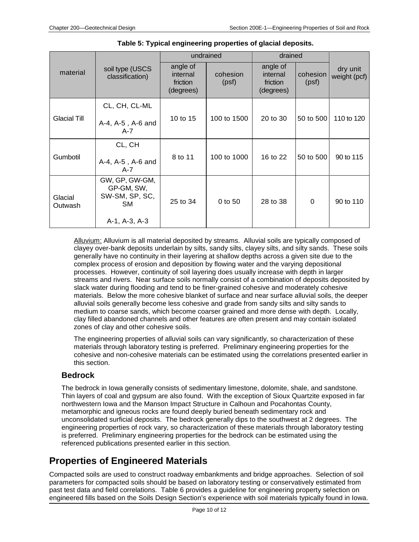|                     |                                                             | undrained                                     |                   | drained                                       |                   |                          |
|---------------------|-------------------------------------------------------------|-----------------------------------------------|-------------------|-----------------------------------------------|-------------------|--------------------------|
| material            | soil type (USCS<br>classification)                          | angle of<br>internal<br>friction<br>(degrees) | cohesion<br>(psf) | angle of<br>internal<br>friction<br>(degrees) | cohesion<br>(psf) | dry unit<br>weight (pcf) |
| <b>Glacial Till</b> | CL, CH, CL-ML                                               |                                               |                   |                                               |                   |                          |
|                     | A-4, A-5, A-6 and<br>A-7                                    | 10 to 15                                      | 100 to 1500       | 20 to 30                                      | 50 to 500         | 110 to 120               |
| Gumbotil            | CL, CH                                                      |                                               | 100 to 1000       | 16 to 22                                      | 50 to 500         | 90 to 115                |
|                     | A-4, A-5, A-6 and<br>$A-7$                                  | 8 to 11                                       |                   |                                               |                   |                          |
| Glacial<br>Outwash  | GW, GP, GW-GM,<br>GP-GM, SW,<br>SW-SM, SP, SC,<br><b>SM</b> | 25 to 34                                      | 0 to 50           | 28 to 38                                      | $\mathbf 0$       | 90 to 110                |
|                     | A-1, A-3, A-3                                               |                                               |                   |                                               |                   |                          |

**Table 5: Typical engineering properties of glacial deposits.**

Alluvium: Alluvium is all material deposited by streams. Alluvial soils are typically composed of clayey over-bank deposits underlain by silts, sandy silts, clayey silts, and silty sands. These soils generally have no continuity in their layering at shallow depths across a given site due to the complex process of erosion and deposition by flowing water and the varying depositional processes. However, continuity of soil layering does usually increase with depth in larger streams and rivers. Near surface soils normally consist of a combination of deposits deposited by slack water during flooding and tend to be finer-grained cohesive and moderately cohesive materials. Below the more cohesive blanket of surface and near surface alluvial soils, the deeper alluvial soils generally become less cohesive and grade from sandy silts and silty sands to medium to coarse sands, which become coarser grained and more dense with depth. Locally, clay filled abandoned channels and other features are often present and may contain isolated zones of clay and other cohesive soils.

The engineering properties of alluvial soils can vary significantly, so characterization of these materials through laboratory testing is preferred. Preliminary engineering properties for the cohesive and non-cohesive materials can be estimated using the correlations presented earlier in this section.

#### **Bedrock**

The bedrock in Iowa generally consists of sedimentary limestone, dolomite, shale, and sandstone. Thin layers of coal and gypsum are also found. With the exception of Sioux Quartzite exposed in far northwestern Iowa and the Manson Impact Structure in Calhoun and Pocahontas County, metamorphic and igneous rocks are found deeply buried beneath sedimentary rock and unconsolidated surficial deposits. The bedrock generally dips to the southwest at 2 degrees. The engineering properties of rock vary, so characterization of these materials through laboratory testing is preferred. Preliminary engineering properties for the bedrock can be estimated using the referenced publications presented earlier in this section.

### **Properties of Engineered Materials**

Compacted soils are used to construct roadway embankments and bridge approaches. Selection of soil parameters for compacted soils should be based on laboratory testing or conservatively estimated from past test data and field correlations. Table 6 provides a guideline for engineering property selection on engineered fills based on the Soils Design Section's experience with soil materials typically found in Iowa.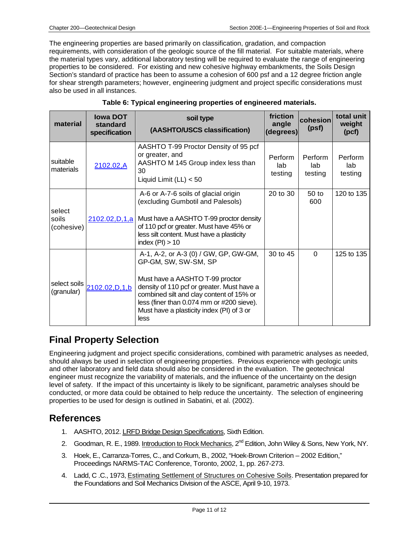The engineering properties are based primarily on classification, gradation, and compaction requirements, with consideration of the geologic source of the fill material. For suitable materials, where the material types vary, additional laboratory testing will be required to evaluate the range of engineering properties to be considered. For existing and new cohesive highway embankments, the Soils Design Section's standard of practice has been to assume a cohesion of 600 psf and a 12 degree friction angle for shear strength parameters; however, engineering judgment and project specific considerations must also be used in all instances.

| material                      | <b>Iowa DOT</b><br>standard<br>specification | soil type<br>(AASHTO/USCS classification)                                                                                                                                                                                                                                                    | friction<br>angle<br>(degrees) | cohesion<br>(psf)         | total unit<br>weight<br>(pcf) |
|-------------------------------|----------------------------------------------|----------------------------------------------------------------------------------------------------------------------------------------------------------------------------------------------------------------------------------------------------------------------------------------------|--------------------------------|---------------------------|-------------------------------|
| suitable<br>materials         | 2102.02,A                                    | AASHTO T-99 Proctor Density of 95 pcf<br>or greater, and<br>AASHTO M 145 Group index less than<br>30<br>Liquid Limit $(LL) < 50$                                                                                                                                                             | Perform<br>lab<br>testing      | Perform<br>lab<br>testing | Perform<br>lab<br>testing     |
| select<br>soils<br>(cohesive) | 2102.02, D, 1, a                             | A-6 or A-7-6 soils of glacial origin<br>(excluding Gumbotil and Palesols)<br>Must have a AASHTO T-99 proctor density<br>of 110 pcf or greater. Must have 45% or<br>less silt content. Must have a plasticity<br>index $(Pl) > 10$                                                            | 20 to 30                       | $50$ to<br>600            | 120 to 135                    |
| select soils<br>(granular)    | 2102.02, D, 1, b                             | A-1, A-2, or A-3 (0) / GW, GP, GW-GM,<br>GP-GM, SW, SW-SM, SP<br>Must have a AASHTO T-99 proctor<br>density of 110 pcf or greater. Must have a<br>combined silt and clay content of 15% or<br>less (finer than 0.074 mm or #200 sieve).<br>Must have a plasticity index (PI) of 3 or<br>less | 30 to 45                       | $\Omega$                  | 125 to 135                    |

#### **Table 6: Typical engineering properties of engineered materials.**

### **Final Property Selection**

Engineering judgment and project specific considerations, combined with parametric analyses as needed, should always be used in selection of engineering properties. Previous experience with geologic units and other laboratory and field data should also be considered in the evaluation. The geotechnical engineer must recognize the variability of materials, and the influence of the uncertainty on the design level of safety. If the impact of this uncertainty is likely to be significant, parametric analyses should be conducted, or more data could be obtained to help reduce the uncertainty. The selection of engineering properties to be used for design is outlined in Sabatini, et al. (2002).

#### **References**

- 1. AASHTO, 2012. LRFD Bridge Design Specifications, Sixth Edition.
- 2. Goodman, R. E., 1989. Introduction to Rock Mechanics, 2<sup>nd</sup> Edition, John Wiley & Sons, New York, NY.
- 3. Hoek, E., Carranza-Torres, C., and Corkum, B., 2002, "Hoek-Brown Criterion 2002 Edition," Proceedings NARMS-TAC Conference, Toronto, 2002, 1, pp. 267-273.
- 4. Ladd, C .C., 1973, Estimating Settlement of Structures on Cohesive Soils. Presentation prepared for the Foundations and Soil Mechanics Division of the ASCE, April 9-10, 1973.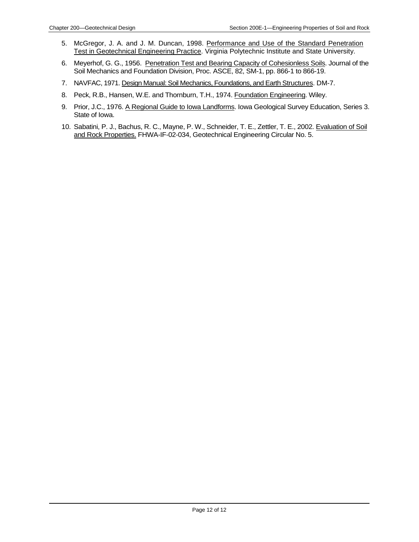- 5. McGregor, J. A. and J. M. Duncan, 1998. Performance and Use of the Standard Penetration Test in Geotechnical Engineering Practice. Virginia Polytechnic Institute and State University.
- 6. Meyerhof, G. G., 1956. Penetration Test and Bearing Capacity of Cohesionless Soils. Journal of the Soil Mechanics and Foundation Division, Proc. ASCE, 82, SM-1, pp. 866-1 to 866-19.
- 7. NAVFAC, 1971. Design Manual: Soil Mechanics, Foundations, and Earth Structures. DM-7.
- 8. Peck, R.B., Hansen, W.E. and Thornburn, T.H., 1974. Foundation Engineering. Wiley.
- 9. Prior, J.C., 1976. A Regional Guide to Iowa Landforms. Iowa Geological Survey Education, Series 3. State of Iowa.
- 10. Sabatini, P. J., Bachus, R. C., Mayne, P. W., Schneider, T. E., Zettler, T. E., 2002. Evaluation of Soil and Rock Properties. FHWA-IF-02-034, Geotechnical Engineering Circular No. 5.